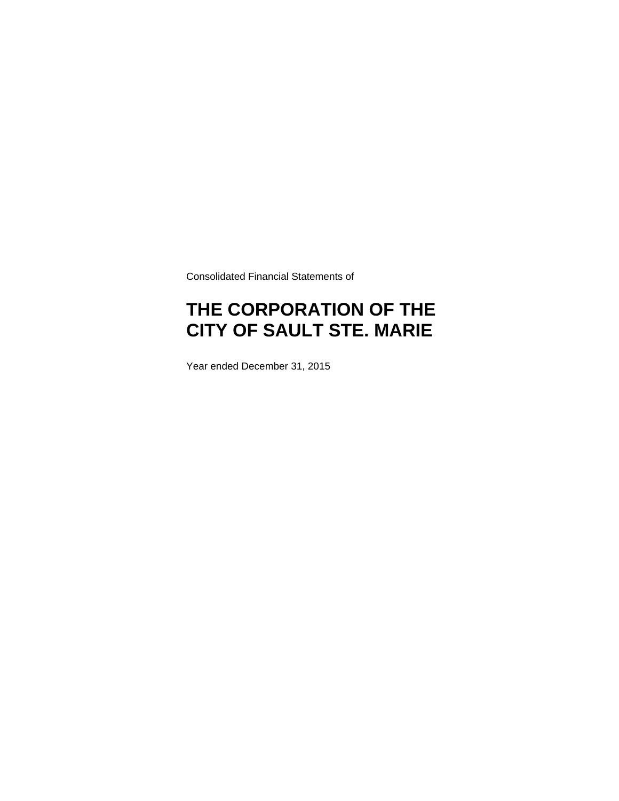Consolidated Financial Statements of

# **THE CORPORATION OF THE CITY OF SAULT STE. MARIE**

Year ended December 31, 2015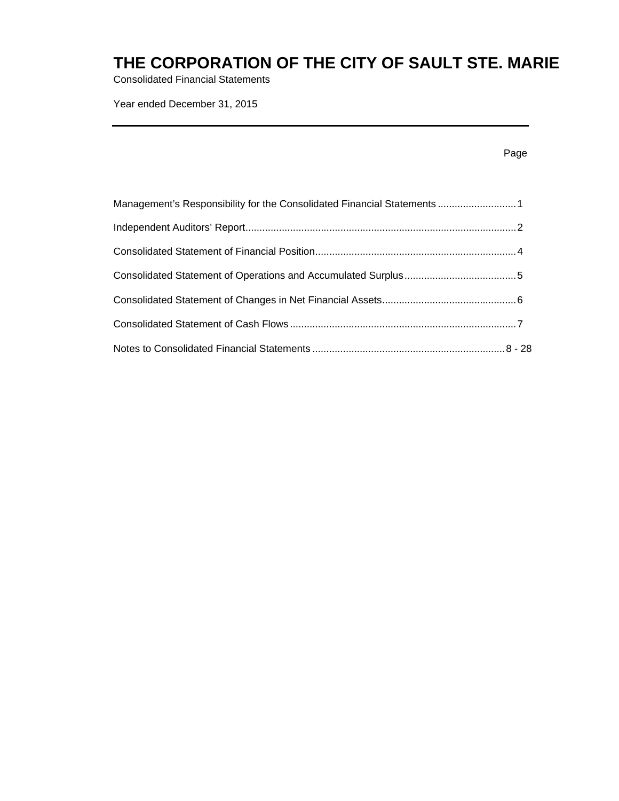Consolidated Financial Statements

Year ended December 31, 2015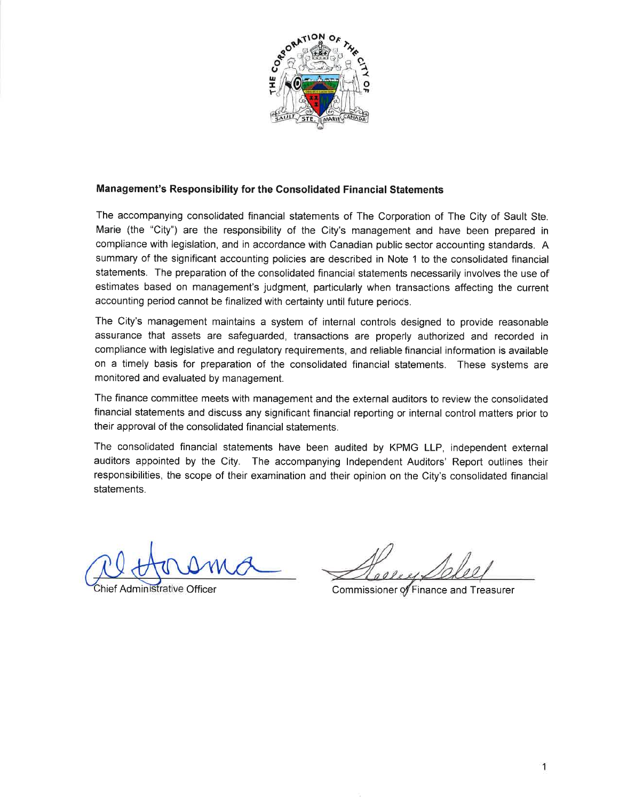

#### Management's Responsibility for the Consolidated Financial Statements

The accompanying consolidated financial statements of The Corporation of The City of Sault Ste. Marie (the "City") are the responsibility of the City's management and have been prepared in compliance with legislation, and in accordance with Canadian public sector accounting standards. A summary of the significant accounting policies are described in Note 1 to the consolidated financial statements. The preparation of the consolidated financial statements necessarily involves the use of estimates based on management's judgment, particularly when transactions affecting the current accounting period cannot be finalized with certainty until future periods.

The City's management maintains a system of internal controls designed to provide reasonable assurance that assets are safeguarded, transactions are properly authorized and recorded in compliance with legislative and regulatory requirements, and reliable financial information is available on a timely basis for preparation of the consolidated financial statements. These systems are monitored and evaluated by management.

The finance committee meets with management and the external auditors to review the consolidated financial statements and discuss any significant financial reporting or internal control matters prior to their approval of the consolidated financial statements.

The consolidated financial statements have been audited by KPMG LLP, independent external auditors appointed by the City. The accompanying Independent Auditors' Report outlines their responsibilities, the scope of their examination and their opinion on the City's consolidated financial statements.

ief Administrative Officer

Commissioner of Finance and Treasurer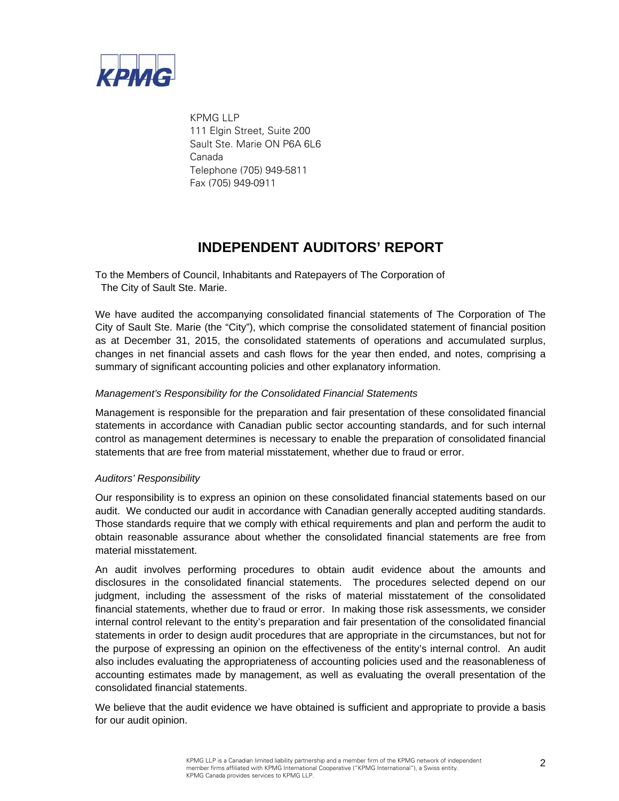

 KPMG LLP 111 Elgin Street, Suite 200 Sault Ste. Marie ON P6A 6L6 Canada Telephone (705) 949-5811 Fax (705) 949-0911

## **INDEPENDENT AUDITORS' REPORT**

To the Members of Council, Inhabitants and Ratepayers of The Corporation of The City of Sault Ste. Marie.

We have audited the accompanying consolidated financial statements of The Corporation of The City of Sault Ste. Marie (the "City"), which comprise the consolidated statement of financial position as at December 31, 2015, the consolidated statements of operations and accumulated surplus, changes in net financial assets and cash flows for the year then ended, and notes, comprising a summary of significant accounting policies and other explanatory information.

#### *Management's Responsibility for the Consolidated Financial Statements*

Management is responsible for the preparation and fair presentation of these consolidated financial statements in accordance with Canadian public sector accounting standards, and for such internal control as management determines is necessary to enable the preparation of consolidated financial statements that are free from material misstatement, whether due to fraud or error.

#### *Auditors' Responsibility*

Our responsibility is to express an opinion on these consolidated financial statements based on our audit. We conducted our audit in accordance with Canadian generally accepted auditing standards. Those standards require that we comply with ethical requirements and plan and perform the audit to obtain reasonable assurance about whether the consolidated financial statements are free from material misstatement.

An audit involves performing procedures to obtain audit evidence about the amounts and disclosures in the consolidated financial statements. The procedures selected depend on our judgment, including the assessment of the risks of material misstatement of the consolidated financial statements, whether due to fraud or error. In making those risk assessments, we consider internal control relevant to the entity's preparation and fair presentation of the consolidated financial statements in order to design audit procedures that are appropriate in the circumstances, but not for the purpose of expressing an opinion on the effectiveness of the entity's internal control.An audit also includes evaluating the appropriateness of accounting policies used and the reasonableness of accounting estimates made by management, as well as evaluating the overall presentation of the consolidated financial statements.

We believe that the audit evidence we have obtained is sufficient and appropriate to provide a basis for our audit opinion.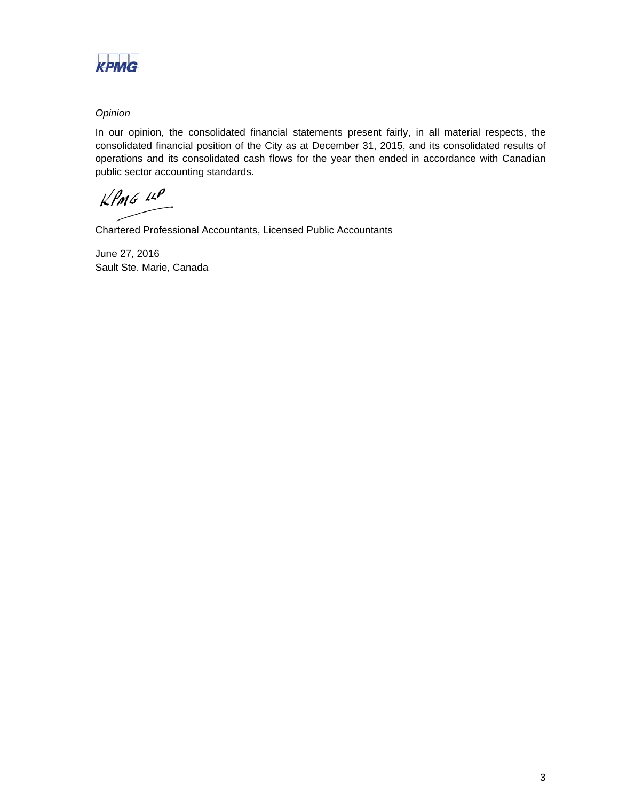

#### *Opinion*

In our opinion, the consolidated financial statements present fairly, in all material respects, the consolidated financial position of the City as at December 31, 2015, and its consolidated results of operations and its consolidated cash flows for the year then ended in accordance with Canadian public sector accounting standards**.** 

 $KPMG$  14P

Chartered Professional Accountants, Licensed Public Accountants

June 27, 2016 Sault Ste. Marie, Canada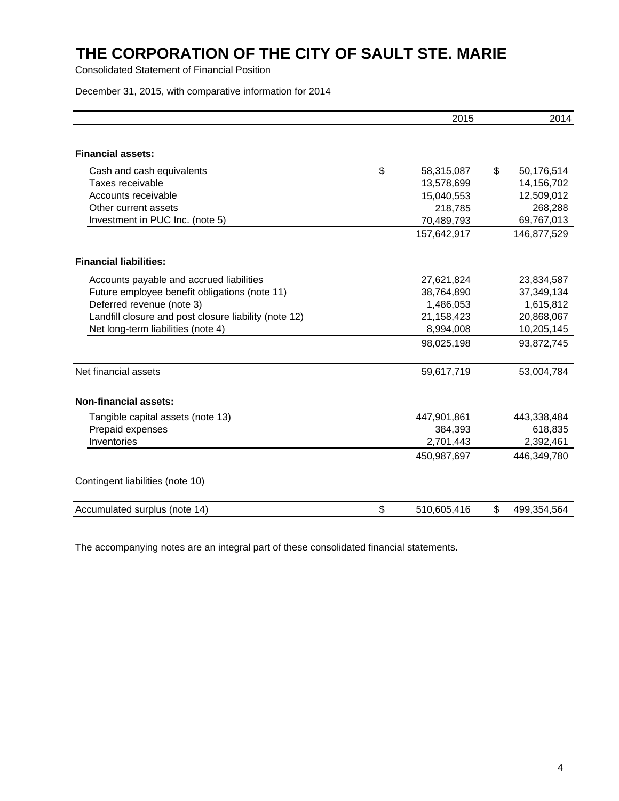Consolidated Statement of Financial Position

December 31, 2015, with comparative information for 2014

|                                                       | 2015              | 2014              |
|-------------------------------------------------------|-------------------|-------------------|
| <b>Financial assets:</b>                              |                   |                   |
| Cash and cash equivalents                             | \$<br>58,315,087  | \$<br>50,176,514  |
| Taxes receivable                                      | 13,578,699        | 14,156,702        |
| Accounts receivable                                   | 15,040,553        | 12,509,012        |
| Other current assets                                  | 218,785           | 268,288           |
| Investment in PUC Inc. (note 5)                       | 70,489,793        | 69,767,013        |
|                                                       | 157,642,917       | 146,877,529       |
| <b>Financial liabilities:</b>                         |                   |                   |
| Accounts payable and accrued liabilities              | 27,621,824        | 23,834,587        |
| Future employee benefit obligations (note 11)         | 38,764,890        | 37,349,134        |
| Deferred revenue (note 3)                             | 1,486,053         | 1,615,812         |
| Landfill closure and post closure liability (note 12) | 21,158,423        | 20,868,067        |
| Net long-term liabilities (note 4)                    | 8,994,008         | 10,205,145        |
|                                                       | 98,025,198        | 93,872,745        |
| Net financial assets                                  | 59,617,719        | 53,004,784        |
| <b>Non-financial assets:</b>                          |                   |                   |
| Tangible capital assets (note 13)                     | 447,901,861       | 443,338,484       |
| Prepaid expenses                                      | 384,393           | 618,835           |
| Inventories                                           | 2,701,443         | 2,392,461         |
|                                                       | 450,987,697       | 446,349,780       |
| Contingent liabilities (note 10)                      |                   |                   |
| Accumulated surplus (note 14)                         | \$<br>510,605,416 | \$<br>499,354,564 |

The accompanying notes are an integral part of these consolidated financial statements.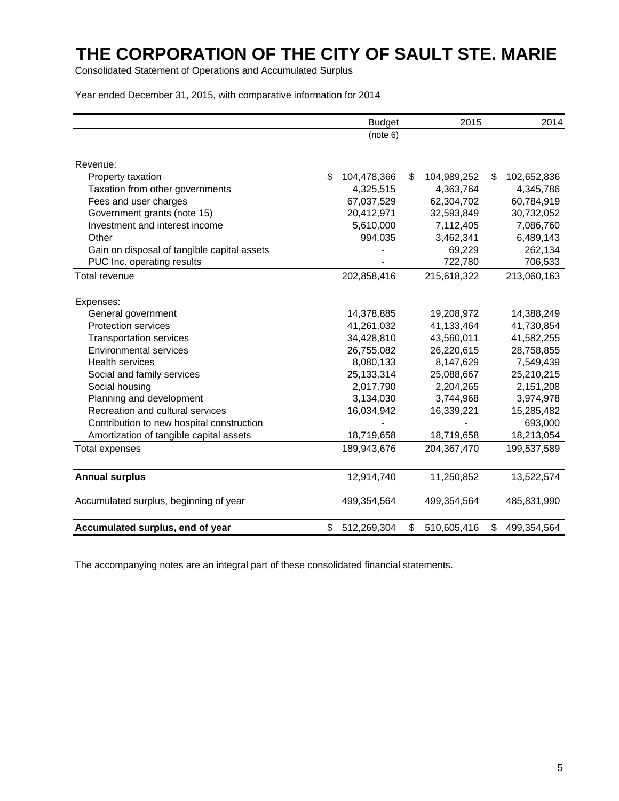Consolidated Statement of Operations and Accumulated Surplus

Year ended December 31, 2015, with comparative information for 2014

|                                             | 2015<br><b>Budget</b> |    | 2014        |                   |
|---------------------------------------------|-----------------------|----|-------------|-------------------|
|                                             | (note 6)              |    |             |                   |
| Revenue:                                    |                       |    |             |                   |
| Property taxation                           | \$<br>104,478,366     | \$ | 104,989,252 | \$<br>102,652,836 |
| Taxation from other governments             | 4,325,515             |    | 4,363,764   | 4,345,786         |
| Fees and user charges                       | 67,037,529            |    | 62,304,702  | 60,784,919        |
| Government grants (note 15)                 | 20,412,971            |    | 32,593,849  | 30,732,052        |
| Investment and interest income              | 5,610,000             |    | 7,112,405   | 7,086,760         |
| Other                                       | 994,035               |    | 3,462,341   | 6,489,143         |
| Gain on disposal of tangible capital assets |                       |    | 69,229      | 262,134           |
| PUC Inc. operating results                  |                       |    | 722,780     | 706,533           |
| Total revenue                               | 202,858,416           |    | 215,618,322 | 213,060,163       |
| Expenses:                                   |                       |    |             |                   |
| General government                          | 14,378,885            |    | 19,208,972  | 14,388,249        |
| <b>Protection services</b>                  | 41,261,032            |    | 41,133,464  | 41,730,854        |
| <b>Transportation services</b>              | 34,428,810            |    | 43,560,011  | 41,582,255        |
| <b>Environmental services</b>               | 26,755,082            |    | 26,220,615  | 28,758,855        |
| <b>Health services</b>                      | 8,080,133             |    | 8,147,629   | 7,549,439         |
| Social and family services                  | 25, 133, 314          |    | 25,088,667  | 25,210,215        |
| Social housing                              | 2,017,790             |    | 2,204,265   | 2,151,208         |
| Planning and development                    | 3,134,030             |    | 3,744,968   | 3,974,978         |
| Recreation and cultural services            | 16,034,942            |    | 16,339,221  | 15,285,482        |
| Contribution to new hospital construction   |                       |    |             | 693,000           |
| Amortization of tangible capital assets     | 18,719,658            |    | 18,719,658  | 18,213,054        |
| Total expenses                              | 189,943,676           |    | 204,367,470 | 199,537,589       |
| <b>Annual surplus</b>                       | 12,914,740            |    | 11,250,852  | 13,522,574        |
| Accumulated surplus, beginning of year      | 499,354,564           |    | 499,354,564 | 485,831,990       |
| Accumulated surplus, end of year            | \$<br>512,269,304     | \$ | 510,605,416 | \$<br>499,354,564 |

The accompanying notes are an integral part of these consolidated financial statements.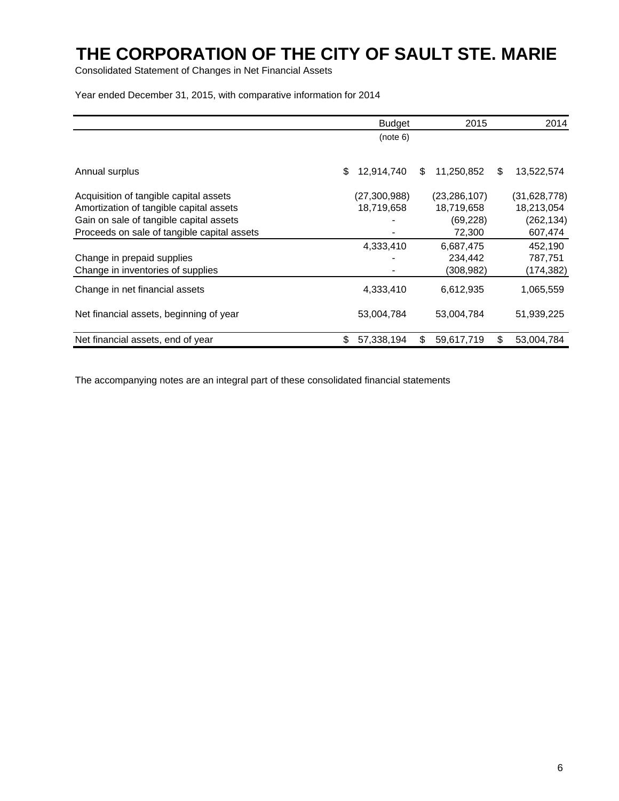Consolidated Statement of Changes in Net Financial Assets

Year ended December 31, 2015, with comparative information for 2014

|                                             | <b>Budget</b>     | 2014<br>2015     |                  |
|---------------------------------------------|-------------------|------------------|------------------|
|                                             | (note 6)          |                  |                  |
|                                             |                   |                  |                  |
| Annual surplus                              | 12,914,740<br>\$. | 11,250,852<br>\$ | \$<br>13,522,574 |
| Acquisition of tangible capital assets      | (27,300,988)      | (23, 286, 107)   | (31,628,778)     |
| Amortization of tangible capital assets     | 18,719,658        | 18,719,658       | 18,213,054       |
| Gain on sale of tangible capital assets     |                   | (69,228)         | (262, 134)       |
| Proceeds on sale of tangible capital assets |                   | 72,300           | 607,474          |
|                                             | 4,333,410         | 6,687,475        | 452,190          |
| Change in prepaid supplies                  |                   | 234,442          | 787,751          |
| Change in inventories of supplies           |                   | (308,982)        | (174,382)        |
| Change in net financial assets              | 4,333,410         | 6,612,935        | 1,065,559        |
| Net financial assets, beginning of year     | 53,004,784        | 53,004,784       | 51,939,225       |
| Net financial assets, end of year           | 57,338,194<br>\$  | \$<br>59,617,719 | \$<br>53,004,784 |

The accompanying notes are an integral part of these consolidated financial statements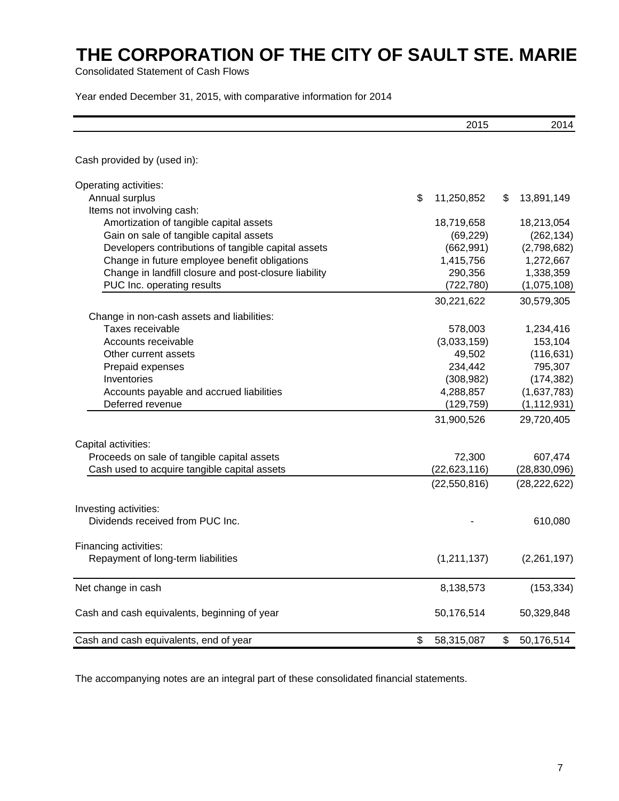Consolidated Statement of Cash Flows

Year ended December 31, 2015, with comparative information for 2014

|                                                       | 2015             | 2014             |
|-------------------------------------------------------|------------------|------------------|
|                                                       |                  |                  |
| Cash provided by (used in):                           |                  |                  |
| Operating activities:                                 |                  |                  |
| Annual surplus                                        | \$<br>11,250,852 | \$<br>13,891,149 |
| Items not involving cash:                             |                  |                  |
| Amortization of tangible capital assets               | 18,719,658       | 18,213,054       |
| Gain on sale of tangible capital assets               | (69, 229)        | (262, 134)       |
| Developers contributions of tangible capital assets   | (662, 991)       | (2,798,682)      |
| Change in future employee benefit obligations         | 1,415,756        | 1,272,667        |
| Change in landfill closure and post-closure liability | 290,356          | 1,338,359        |
| PUC Inc. operating results                            | (722, 780)       | (1,075,108)      |
|                                                       | 30,221,622       | 30,579,305       |
| Change in non-cash assets and liabilities:            |                  |                  |
| Taxes receivable                                      | 578,003          | 1,234,416        |
| Accounts receivable                                   | (3,033,159)      | 153,104          |
| Other current assets                                  | 49,502           | (116, 631)       |
| Prepaid expenses                                      | 234,442          | 795,307          |
| Inventories                                           | (308, 982)       | (174, 382)       |
| Accounts payable and accrued liabilities              | 4,288,857        | (1,637,783)      |
| Deferred revenue                                      | (129, 759)       | (1, 112, 931)    |
|                                                       | 31,900,526       | 29,720,405       |
|                                                       |                  |                  |
| Capital activities:                                   |                  |                  |
| Proceeds on sale of tangible capital assets           | 72,300           | 607,474          |
| Cash used to acquire tangible capital assets          | (22, 623, 116)   | (28, 830, 096)   |
|                                                       | (22,550,816)     | (28, 222, 622)   |
| Investing activities:                                 |                  |                  |
| Dividends received from PUC Inc.                      |                  | 610,080          |
|                                                       |                  |                  |
| Financing activities:                                 |                  |                  |
| Repayment of long-term liabilities                    | (1, 211, 137)    | (2,261,197)      |
|                                                       |                  |                  |
| Net change in cash                                    | 8,138,573        | (153, 334)       |
| Cash and cash equivalents, beginning of year          | 50,176,514       | 50,329,848       |
|                                                       |                  |                  |
| Cash and cash equivalents, end of year                | \$<br>58,315,087 | \$<br>50,176,514 |

The accompanying notes are an integral part of these consolidated financial statements.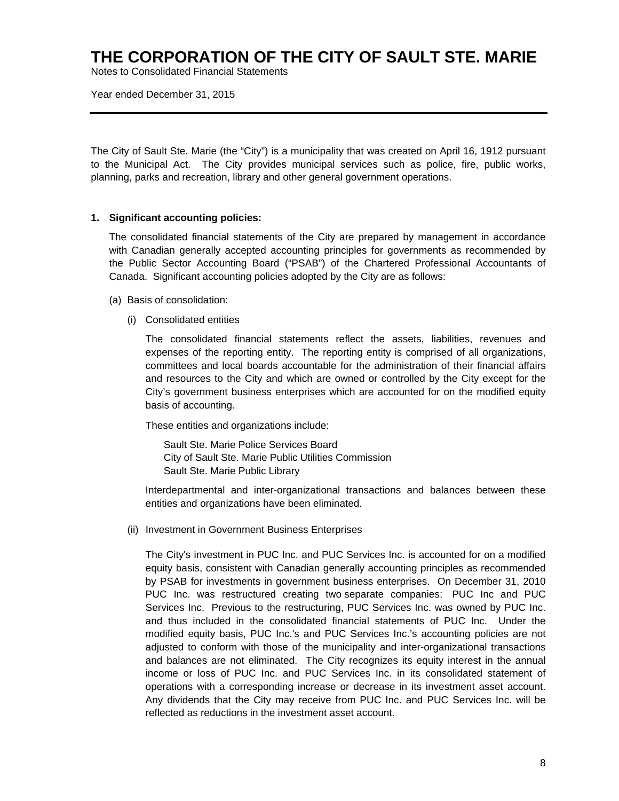Notes to Consolidated Financial Statements

Year ended December 31, 2015

The City of Sault Ste. Marie (the "City") is a municipality that was created on April 16, 1912 pursuant to the Municipal Act. The City provides municipal services such as police, fire, public works, planning, parks and recreation, library and other general government operations.

#### **1. Significant accounting policies:**

The consolidated financial statements of the City are prepared by management in accordance with Canadian generally accepted accounting principles for governments as recommended by the Public Sector Accounting Board ("PSAB") of the Chartered Professional Accountants of Canada. Significant accounting policies adopted by the City are as follows:

- (a) Basis of consolidation:
	- (i) Consolidated entities

 The consolidated financial statements reflect the assets, liabilities, revenues and expenses of the reporting entity. The reporting entity is comprised of all organizations, committees and local boards accountable for the administration of their financial affairs and resources to the City and which are owned or controlled by the City except for the City's government business enterprises which are accounted for on the modified equity basis of accounting.

These entities and organizations include:

 Sault Ste. Marie Police Services Board City of Sault Ste. Marie Public Utilities Commission Sault Ste. Marie Public Library

 Interdepartmental and inter-organizational transactions and balances between these entities and organizations have been eliminated.

(ii) Investment in Government Business Enterprises

The City's investment in PUC Inc. and PUC Services Inc. is accounted for on a modified equity basis, consistent with Canadian generally accounting principles as recommended by PSAB for investments in government business enterprises. On December 31, 2010 PUC Inc. was restructured creating two separate companies: PUC Inc and PUC Services Inc. Previous to the restructuring, PUC Services Inc. was owned by PUC Inc. and thus included in the consolidated financial statements of PUC Inc. Under the modified equity basis, PUC Inc.'s and PUC Services Inc.'s accounting policies are not adjusted to conform with those of the municipality and inter-organizational transactions and balances are not eliminated. The City recognizes its equity interest in the annual income or loss of PUC Inc. and PUC Services Inc. in its consolidated statement of operations with a corresponding increase or decrease in its investment asset account. Any dividends that the City may receive from PUC Inc. and PUC Services Inc. will be reflected as reductions in the investment asset account.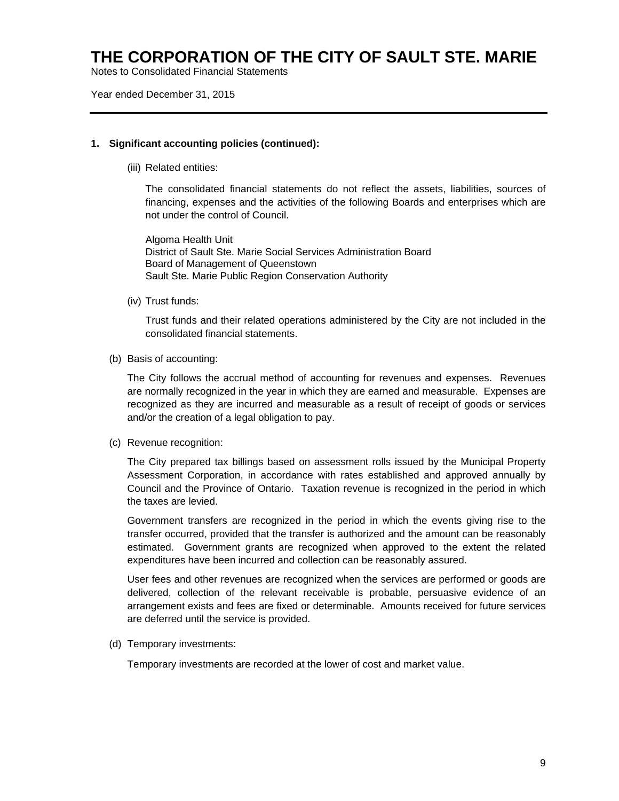Notes to Consolidated Financial Statements

Year ended December 31, 2015

#### **1. Significant accounting policies (continued):**

(iii) Related entities:

 The consolidated financial statements do not reflect the assets, liabilities, sources of financing, expenses and the activities of the following Boards and enterprises which are not under the control of Council.

 Algoma Health Unit District of Sault Ste. Marie Social Services Administration Board Board of Management of Queenstown Sault Ste. Marie Public Region Conservation Authority

(iv) Trust funds:

Trust funds and their related operations administered by the City are not included in the consolidated financial statements.

(b) Basis of accounting:

The City follows the accrual method of accounting for revenues and expenses. Revenues are normally recognized in the year in which they are earned and measurable. Expenses are recognized as they are incurred and measurable as a result of receipt of goods or services and/or the creation of a legal obligation to pay.

(c) Revenue recognition:

The City prepared tax billings based on assessment rolls issued by the Municipal Property Assessment Corporation, in accordance with rates established and approved annually by Council and the Province of Ontario. Taxation revenue is recognized in the period in which the taxes are levied.

Government transfers are recognized in the period in which the events giving rise to the transfer occurred, provided that the transfer is authorized and the amount can be reasonably estimated. Government grants are recognized when approved to the extent the related expenditures have been incurred and collection can be reasonably assured.

User fees and other revenues are recognized when the services are performed or goods are delivered, collection of the relevant receivable is probable, persuasive evidence of an arrangement exists and fees are fixed or determinable. Amounts received for future services are deferred until the service is provided.

(d) Temporary investments:

Temporary investments are recorded at the lower of cost and market value.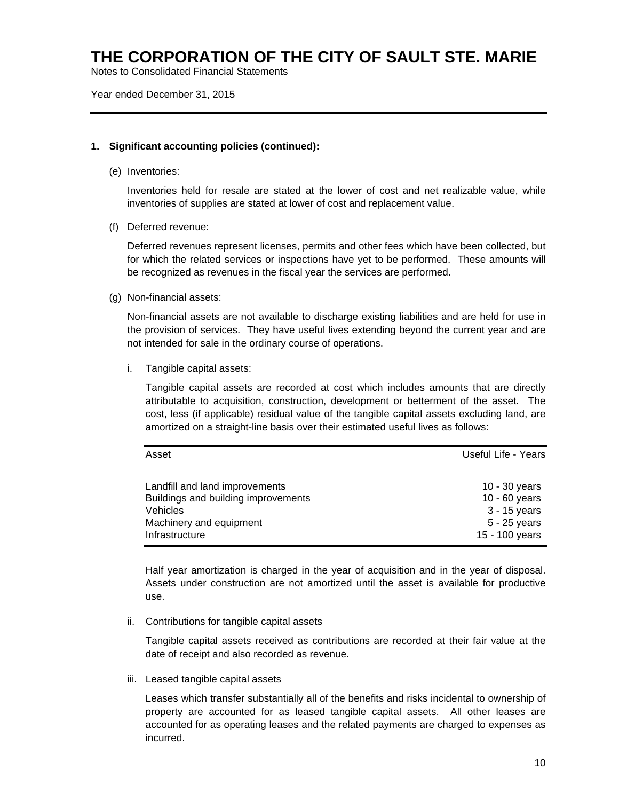Notes to Consolidated Financial Statements

Year ended December 31, 2015

#### **1. Significant accounting policies (continued):**

(e) Inventories:

Inventories held for resale are stated at the lower of cost and net realizable value, while inventories of supplies are stated at lower of cost and replacement value.

(f) Deferred revenue:

Deferred revenues represent licenses, permits and other fees which have been collected, but for which the related services or inspections have yet to be performed. These amounts will be recognized as revenues in the fiscal year the services are performed.

(g) Non-financial assets:

 Non-financial assets are not available to discharge existing liabilities and are held for use in the provision of services. They have useful lives extending beyond the current year and are not intended for sale in the ordinary course of operations.

i. Tangible capital assets:

Tangible capital assets are recorded at cost which includes amounts that are directly attributable to acquisition, construction, development or betterment of the asset. The cost, less (if applicable) residual value of the tangible capital assets excluding land, are amortized on a straight-line basis over their estimated useful lives as follows:

| Asset                               | Useful Life - Years |
|-------------------------------------|---------------------|
|                                     |                     |
| Landfill and land improvements      | $10 - 30$ years     |
| Buildings and building improvements | 10 - 60 years       |
| Vehicles                            | 3 - 15 years        |
| Machinery and equipment             | 5 - 25 years        |
| Infrastructure                      | 15 - 100 years      |

Half year amortization is charged in the year of acquisition and in the year of disposal. Assets under construction are not amortized until the asset is available for productive use.

ii. Contributions for tangible capital assets

Tangible capital assets received as contributions are recorded at their fair value at the date of receipt and also recorded as revenue.

iii. Leased tangible capital assets

Leases which transfer substantially all of the benefits and risks incidental to ownership of property are accounted for as leased tangible capital assets. All other leases are accounted for as operating leases and the related payments are charged to expenses as incurred.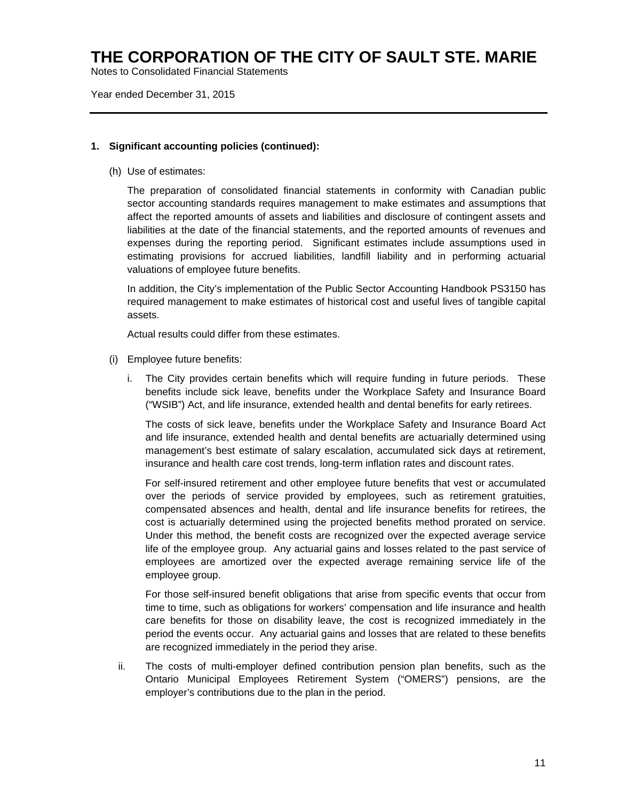Notes to Consolidated Financial Statements

Year ended December 31, 2015

#### **1. Significant accounting policies (continued):**

(h) Use of estimates:

The preparation of consolidated financial statements in conformity with Canadian public sector accounting standards requires management to make estimates and assumptions that affect the reported amounts of assets and liabilities and disclosure of contingent assets and liabilities at the date of the financial statements, and the reported amounts of revenues and expenses during the reporting period. Significant estimates include assumptions used in estimating provisions for accrued liabilities, landfill liability and in performing actuarial valuations of employee future benefits.

In addition, the City's implementation of the Public Sector Accounting Handbook PS3150 has required management to make estimates of historical cost and useful lives of tangible capital assets.

Actual results could differ from these estimates.

- (i) Employee future benefits:
	- i. The City provides certain benefits which will require funding in future periods. These benefits include sick leave, benefits under the Workplace Safety and Insurance Board ("WSIB") Act, and life insurance, extended health and dental benefits for early retirees.

 The costs of sick leave, benefits under the Workplace Safety and Insurance Board Act and life insurance, extended health and dental benefits are actuarially determined using management's best estimate of salary escalation, accumulated sick days at retirement, insurance and health care cost trends, long-term inflation rates and discount rates.

 For self-insured retirement and other employee future benefits that vest or accumulated over the periods of service provided by employees, such as retirement gratuities, compensated absences and health, dental and life insurance benefits for retirees, the cost is actuarially determined using the projected benefits method prorated on service. Under this method, the benefit costs are recognized over the expected average service life of the employee group. Any actuarial gains and losses related to the past service of employees are amortized over the expected average remaining service life of the employee group.

 For those self-insured benefit obligations that arise from specific events that occur from time to time, such as obligations for workers' compensation and life insurance and health care benefits for those on disability leave, the cost is recognized immediately in the period the events occur. Any actuarial gains and losses that are related to these benefits are recognized immediately in the period they arise.

ii. The costs of multi-employer defined contribution pension plan benefits, such as the Ontario Municipal Employees Retirement System ("OMERS") pensions, are the employer's contributions due to the plan in the period.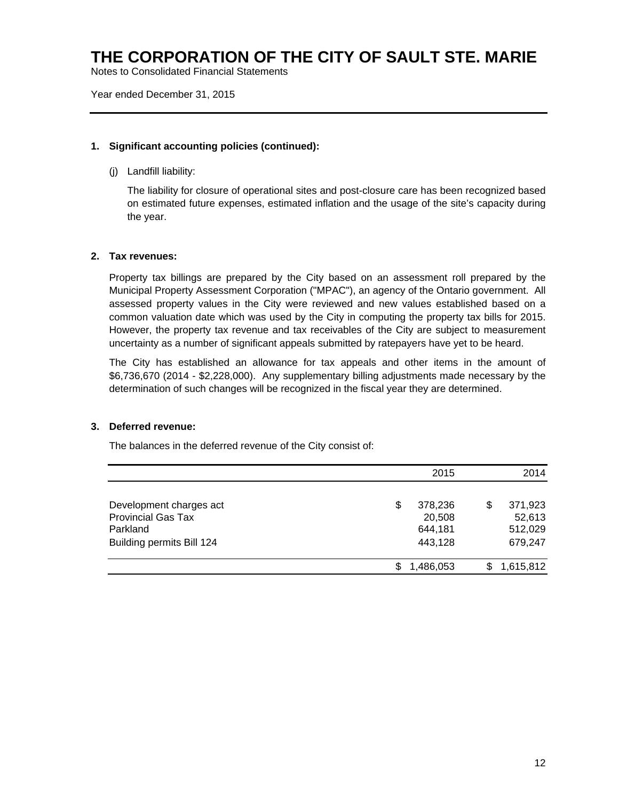Notes to Consolidated Financial Statements

Year ended December 31, 2015

#### **1. Significant accounting policies (continued):**

(j) Landfill liability:

The liability for closure of operational sites and post-closure care has been recognized based on estimated future expenses, estimated inflation and the usage of the site's capacity during the year.

#### **2. Tax revenues:**

Property tax billings are prepared by the City based on an assessment roll prepared by the Municipal Property Assessment Corporation ("MPAC"), an agency of the Ontario government. All assessed property values in the City were reviewed and new values established based on a common valuation date which was used by the City in computing the property tax bills for 2015. However, the property tax revenue and tax receivables of the City are subject to measurement uncertainty as a number of significant appeals submitted by ratepayers have yet to be heard.

The City has established an allowance for tax appeals and other items in the amount of \$6,736,670 (2014 - \$2,228,000). Any supplementary billing adjustments made necessary by the determination of such changes will be recognized in the fiscal year they are determined.

#### **3. Deferred revenue:**

The balances in the deferred revenue of the City consist of:

|                                                                                               | 2015                                          | 2014                                         |
|-----------------------------------------------------------------------------------------------|-----------------------------------------------|----------------------------------------------|
| Development charges act<br><b>Provincial Gas Tax</b><br>Parkland<br>Building permits Bill 124 | 378,236<br>\$<br>20,508<br>644,181<br>443,128 | 371,923<br>S<br>52,613<br>512,029<br>679,247 |
|                                                                                               | 1,486,053                                     | 1,615,812                                    |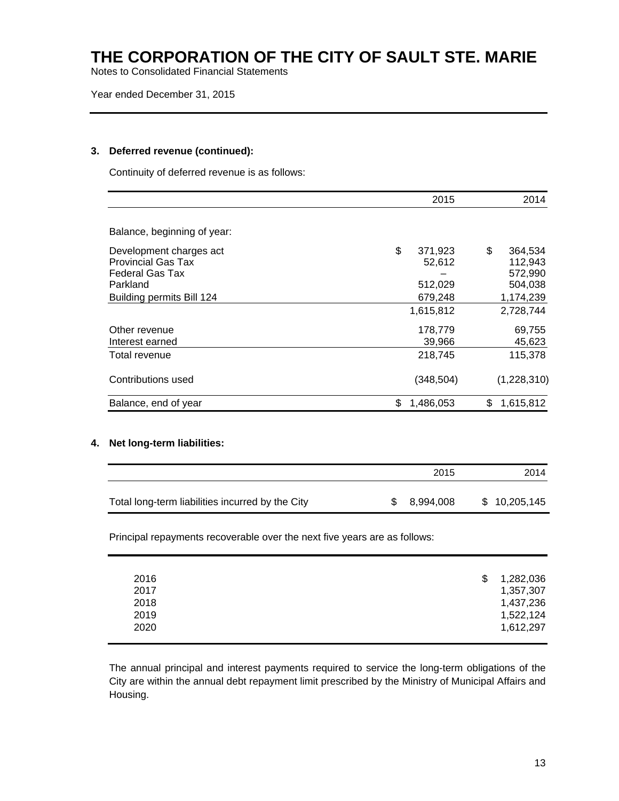Notes to Consolidated Financial Statements

Year ended December 31, 2015

#### **3. Deferred revenue (continued):**

Continuity of deferred revenue is as follows:

|                                                                                                                         | 2015                                          | 2014                                                        |
|-------------------------------------------------------------------------------------------------------------------------|-----------------------------------------------|-------------------------------------------------------------|
| Balance, beginning of year:                                                                                             |                                               |                                                             |
| Development charges act<br><b>Provincial Gas Tax</b><br><b>Federal Gas Tax</b><br>Parkland<br>Building permits Bill 124 | \$<br>371,923<br>52,612<br>512,029<br>679,248 | \$<br>364,534<br>112,943<br>572,990<br>504,038<br>1,174,239 |
|                                                                                                                         | 1,615,812                                     | 2,728,744                                                   |
| Other revenue<br>Interest earned<br>Total revenue                                                                       | 178,779<br>39,966<br>218,745                  | 69,755<br>45,623<br>115,378                                 |
| Contributions used                                                                                                      | (348, 504)                                    | (1,228,310)                                                 |
| Balance, end of year                                                                                                    | \$<br>1,486,053                               | \$<br>1,615,812                                             |

#### **4. Net long-term liabilities:**

|                                                  | 2015        | 2014         |
|--------------------------------------------------|-------------|--------------|
| Total long-term liabilities incurred by the City | \$8,994,008 | \$10,205,145 |

Principal repayments recoverable over the next five years are as follows:

| 2016 | \$. | 1,282,036 |
|------|-----|-----------|
| 2017 |     | 1,357,307 |
| 2018 |     | 1,437,236 |
| 2019 |     | 1,522,124 |
| 2020 |     | 1,612,297 |
|      |     |           |

The annual principal and interest payments required to service the long-term obligations of the City are within the annual debt repayment limit prescribed by the Ministry of Municipal Affairs and Housing.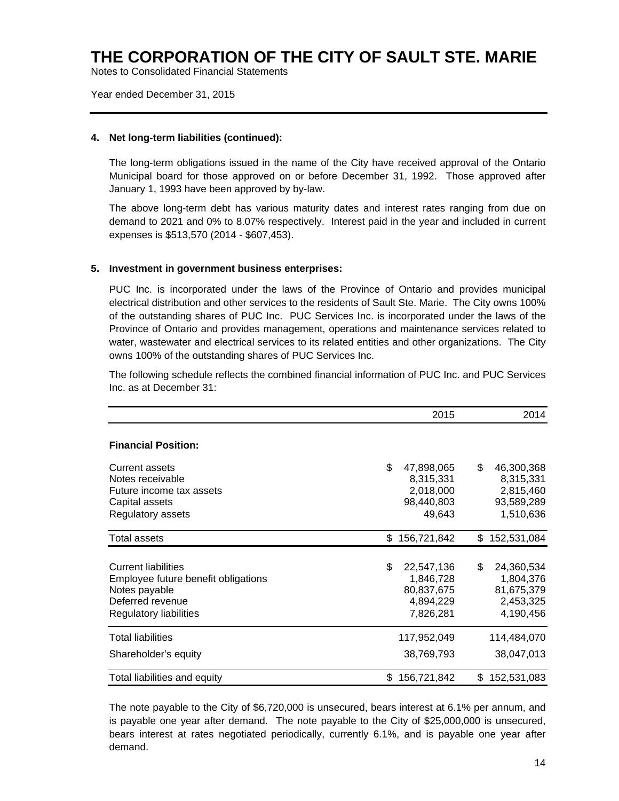Notes to Consolidated Financial Statements

Year ended December 31, 2015

#### **4. Net long-term liabilities (continued):**

The long-term obligations issued in the name of the City have received approval of the Ontario Municipal board for those approved on or before December 31, 1992. Those approved after January 1, 1993 have been approved by by-law.

The above long-term debt has various maturity dates and interest rates ranging from due on demand to 2021 and 0% to 8.07% respectively. Interest paid in the year and included in current expenses is \$513,570 (2014 - \$607,453).

#### **5. Investment in government business enterprises:**

PUC Inc. is incorporated under the laws of the Province of Ontario and provides municipal electrical distribution and other services to the residents of Sault Ste. Marie. The City owns 100% of the outstanding shares of PUC Inc. PUC Services Inc. is incorporated under the laws of the Province of Ontario and provides management, operations and maintenance services related to water, wastewater and electrical services to its related entities and other organizations. The City owns 100% of the outstanding shares of PUC Services Inc.

The following schedule reflects the combined financial information of PUC Inc. and PUC Services Inc. as at December 31:

|                                                                                                                                         |     | 2015                                                            |    | 2014                                                            |
|-----------------------------------------------------------------------------------------------------------------------------------------|-----|-----------------------------------------------------------------|----|-----------------------------------------------------------------|
| <b>Financial Position:</b>                                                                                                              |     |                                                                 |    |                                                                 |
| <b>Current assets</b><br>Notes receivable<br>Future income tax assets<br>Capital assets<br>Regulatory assets                            | \$  | 47,898,065<br>8,315,331<br>2,018,000<br>98,440,803<br>49,643    | \$ | 46,300,368<br>8,315,331<br>2,815,460<br>93,589,289<br>1,510,636 |
| <b>Total assets</b>                                                                                                                     |     | \$156,721,842                                                   | S. | 152,531,084                                                     |
| <b>Current liabilities</b><br>Employee future benefit obligations<br>Notes payable<br>Deferred revenue<br><b>Regulatory liabilities</b> | \$  | 22,547,136<br>1,846,728<br>80,837,675<br>4,894,229<br>7,826,281 | \$ | 24,360,534<br>1,804,376<br>81,675,379<br>2,453,325<br>4,190,456 |
| <b>Total liabilities</b>                                                                                                                |     | 117,952,049                                                     |    | 114,484,070                                                     |
| Shareholder's equity<br>Total liabilities and equity                                                                                    | \$. | 38,769,793<br>156,721,842                                       | S  | 38,047,013<br>152,531,083                                       |

The note payable to the City of \$6,720,000 is unsecured, bears interest at 6.1% per annum, and is payable one year after demand. The note payable to the City of \$25,000,000 is unsecured, bears interest at rates negotiated periodically, currently 6.1%, and is payable one year after demand.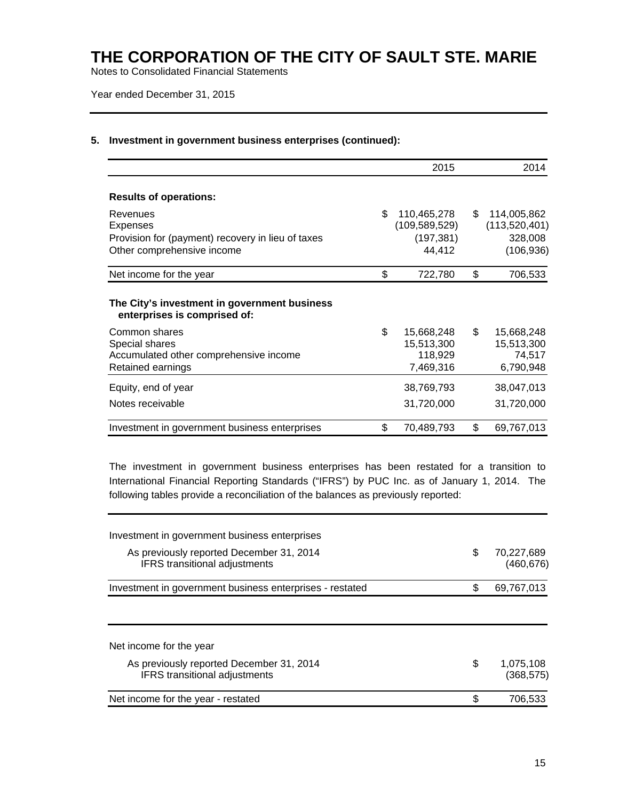Notes to Consolidated Financial Statements

Year ended December 31, 2015

|                                                                                                                | 2015                                                         |     | 2014                                                    |
|----------------------------------------------------------------------------------------------------------------|--------------------------------------------------------------|-----|---------------------------------------------------------|
| <b>Results of operations:</b>                                                                                  |                                                              |     |                                                         |
| Revenues<br><b>Expenses</b><br>Provision for (payment) recovery in lieu of taxes<br>Other comprehensive income | \$<br>110,465,278<br>(109, 589, 529)<br>(197, 381)<br>44,412 | \$. | 114,005,862<br>(113, 520, 401)<br>328,008<br>(106, 936) |
| Net income for the year                                                                                        | \$<br>722,780                                                | \$  | 706,533                                                 |
| The City's investment in government business<br>enterprises is comprised of:                                   |                                                              |     |                                                         |
| Common shares<br>Special shares<br>Accumulated other comprehensive income<br>Retained earnings                 | \$<br>15,668,248<br>15,513,300<br>118,929<br>7,469,316       | \$  | 15,668,248<br>15,513,300<br>74,517<br>6,790,948         |
| Equity, end of year<br>Notes receivable                                                                        | 38,769,793<br>31,720,000                                     |     | 38,047,013<br>31,720,000                                |
| Investment in government business enterprises                                                                  | \$<br>70,489,793                                             | \$  | 69,767,013                                              |

#### **5. Investment in government business enterprises (continued):**

The investment in government business enterprises has been restated for a transition to International Financial Reporting Standards ("IFRS") by PUC Inc. as of January 1, 2014. The following tables provide a reconciliation of the balances as previously reported:

| Investment in government business enterprises                                    |                                |
|----------------------------------------------------------------------------------|--------------------------------|
| As previously reported December 31, 2014<br><b>IFRS</b> transitional adjustments | \$<br>70,227,689<br>(460, 676) |
| Investment in government business enterprises - restated                         | \$<br>69,767,013               |
|                                                                                  |                                |
| Net income for the year                                                          |                                |
| As previously reported December 31, 2014<br><b>IFRS</b> transitional adjustments | \$<br>1,075,108<br>(368, 575)  |
| Net income for the year - restated                                               | \$<br>706.533                  |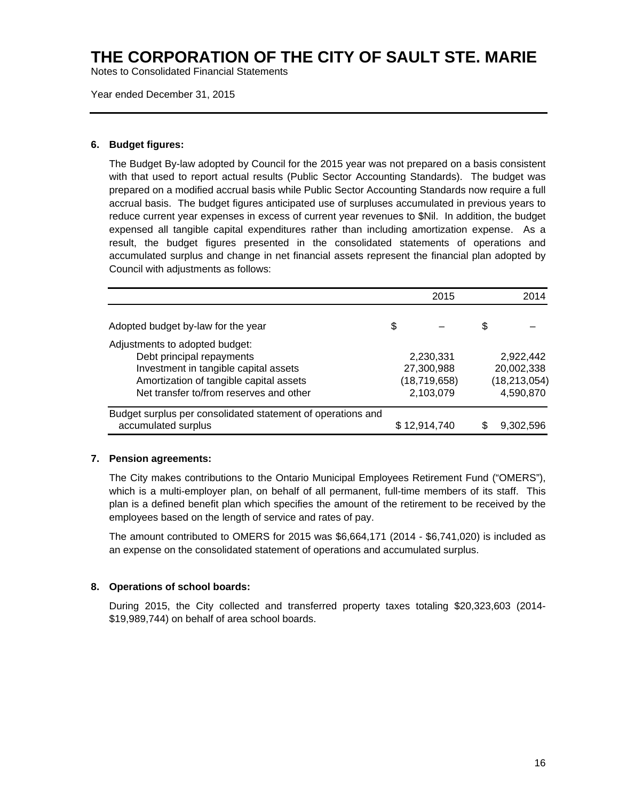Notes to Consolidated Financial Statements

Year ended December 31, 2015

#### **6. Budget figures:**

The Budget By-law adopted by Council for the 2015 year was not prepared on a basis consistent with that used to report actual results (Public Sector Accounting Standards). The budget was prepared on a modified accrual basis while Public Sector Accounting Standards now require a full accrual basis. The budget figures anticipated use of surpluses accumulated in previous years to reduce current year expenses in excess of current year revenues to \$Nil. In addition, the budget expensed all tangible capital expenditures rather than including amortization expense. As a result, the budget figures presented in the consolidated statements of operations and accumulated surplus and change in net financial assets represent the financial plan adopted by Council with adjustments as follows:

|                                                             |           | 2015           | 2014           |
|-------------------------------------------------------------|-----------|----------------|----------------|
| Adopted budget by-law for the year                          | \$        |                | \$             |
| Adjustments to adopted budget:                              |           |                |                |
| Debt principal repayments                                   | 2,230,331 |                | 2,922,442      |
| Investment in tangible capital assets                       |           | 27,300,988     | 20,002,338     |
| Amortization of tangible capital assets                     |           | (18, 719, 658) | (18, 213, 054) |
| Net transfer to/from reserves and other                     |           | 2,103,079      | 4,590,870      |
| Budget surplus per consolidated statement of operations and |           |                |                |
| accumulated surplus                                         |           | \$12,914,740   | 9,302,596      |

#### **7. Pension agreements:**

The City makes contributions to the Ontario Municipal Employees Retirement Fund ("OMERS"), which is a multi-employer plan, on behalf of all permanent, full-time members of its staff. This plan is a defined benefit plan which specifies the amount of the retirement to be received by the employees based on the length of service and rates of pay.

The amount contributed to OMERS for 2015 was \$6,664,171 (2014 - \$6,741,020) is included as an expense on the consolidated statement of operations and accumulated surplus.

#### **8. Operations of school boards:**

During 2015, the City collected and transferred property taxes totaling \$20,323,603 (2014- \$19,989,744) on behalf of area school boards.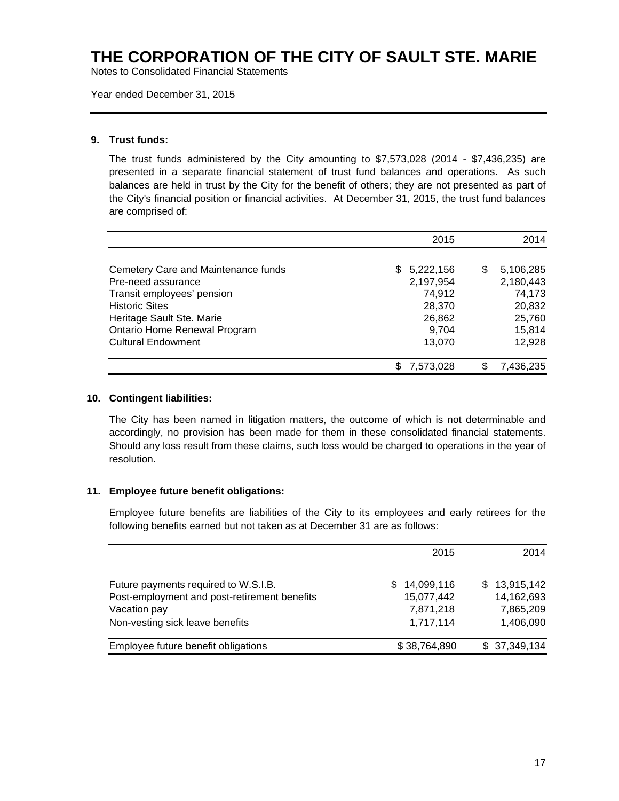Notes to Consolidated Financial Statements

Year ended December 31, 2015

#### **9. Trust funds:**

The trust funds administered by the City amounting to \$7,573,028 (2014 - \$7,436,235) are presented in a separate financial statement of trust fund balances and operations. As such balances are held in trust by the City for the benefit of others; they are not presented as part of the City's financial position or financial activities. At December 31, 2015, the trust fund balances are comprised of:

|                                     | 2015             |   | 2014      |
|-------------------------------------|------------------|---|-----------|
|                                     |                  |   |           |
| Cemetery Care and Maintenance funds | 5,222,156<br>SS. | S | 5,106,285 |
| Pre-need assurance                  | 2,197,954        |   | 2,180,443 |
| Transit employees' pension          | 74,912           |   | 74,173    |
| <b>Historic Sites</b>               | 28,370           |   | 20,832    |
| Heritage Sault Ste. Marie           | 26,862           |   | 25,760    |
| Ontario Home Renewal Program        | 9.704            |   | 15,814    |
| <b>Cultural Endowment</b>           | 13,070           |   | 12,928    |
|                                     | 7,573,028        |   | 7,436,235 |

#### **10. Contingent liabilities:**

The City has been named in litigation matters, the outcome of which is not determinable and accordingly, no provision has been made for them in these consolidated financial statements. Should any loss result from these claims, such loss would be charged to operations in the year of resolution.

#### **11. Employee future benefit obligations:**

Employee future benefits are liabilities of the City to its employees and early retirees for the following benefits earned but not taken as at December 31 are as follows:

|                                                                                                                                         | 2015                                                     | 2014                                                   |
|-----------------------------------------------------------------------------------------------------------------------------------------|----------------------------------------------------------|--------------------------------------------------------|
| Future payments required to W.S.I.B.<br>Post-employment and post-retirement benefits<br>Vacation pay<br>Non-vesting sick leave benefits | 14,099,116<br>æ.<br>15,077,442<br>7,871,218<br>1,717,114 | \$13,915,142<br>14, 162, 693<br>7,865,209<br>1,406,090 |
| Employee future benefit obligations                                                                                                     | \$38,764,890                                             | \$37,349,134                                           |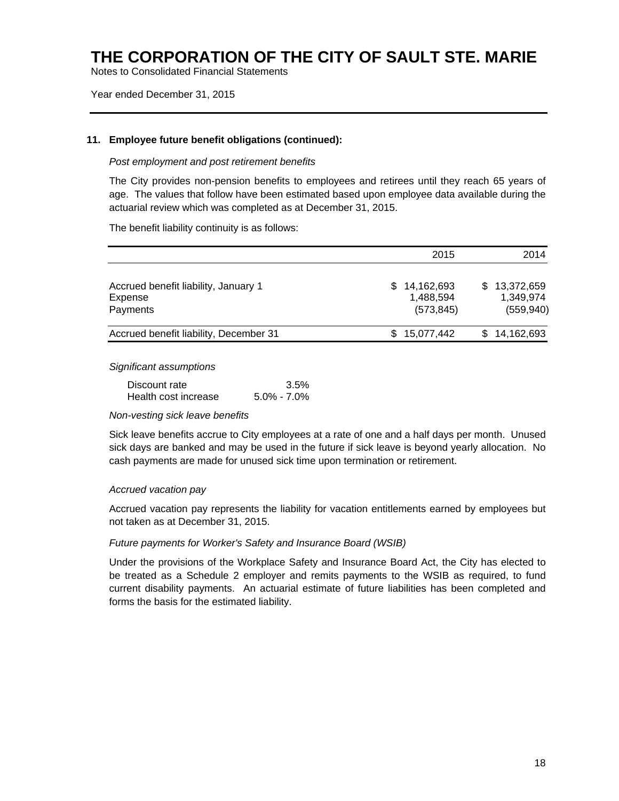Notes to Consolidated Financial Statements

Year ended December 31, 2015

#### **11. Employee future benefit obligations (continued):**

#### *Post employment and post retirement benefits*

The City provides non-pension benefits to employees and retirees until they reach 65 years of age. The values that follow have been estimated based upon employee data available during the actuarial review which was completed as at December 31, 2015.

The benefit liability continuity is as follows:

|                                                             | 2015                                         | 2014                                    |
|-------------------------------------------------------------|----------------------------------------------|-----------------------------------------|
| Accrued benefit liability, January 1<br>Expense<br>Payments | 14,162,693<br>SS.<br>1,488,594<br>(573, 845) | \$13,372,659<br>1,349,974<br>(559, 940) |
| Accrued benefit liability, December 31                      | 15,077,442                                   | 14,162,693                              |

*Significant assumptions* 

| Discount rate        | 3.5%            |
|----------------------|-----------------|
| Health cost increase | $5.0\% - 7.0\%$ |

#### *Non-vesting sick leave benefits*

Sick leave benefits accrue to City employees at a rate of one and a half days per month. Unused sick days are banked and may be used in the future if sick leave is beyond yearly allocation. No cash payments are made for unused sick time upon termination or retirement.

#### *Accrued vacation pay*

Accrued vacation pay represents the liability for vacation entitlements earned by employees but not taken as at December 31, 2015.

#### *Future payments for Worker's Safety and Insurance Board (WSIB)*

Under the provisions of the Workplace Safety and Insurance Board Act, the City has elected to be treated as a Schedule 2 employer and remits payments to the WSIB as required, to fund current disability payments. An actuarial estimate of future liabilities has been completed and forms the basis for the estimated liability.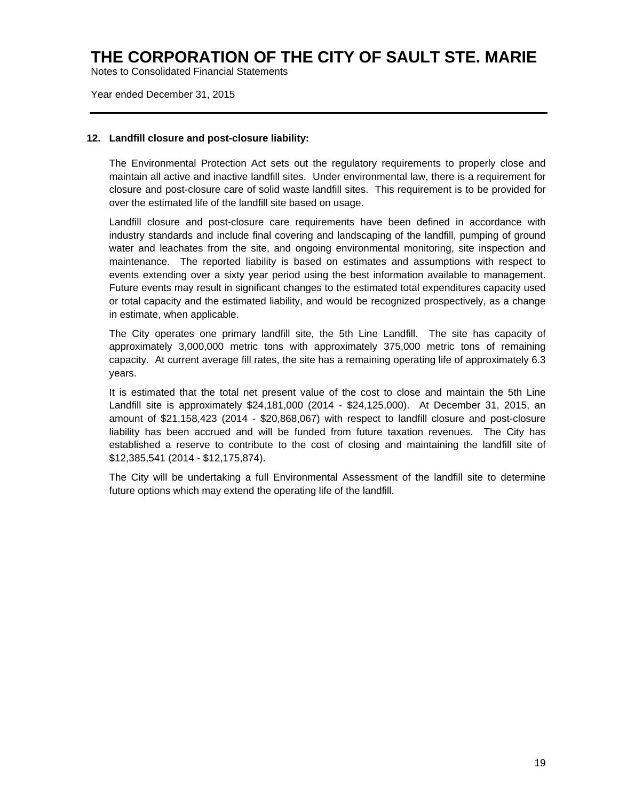Notes to Consolidated Financial Statements

Year ended December 31, 2015

#### **12. Landfill closure and post-closure liability:**

The Environmental Protection Act sets out the regulatory requirements to properly close and maintain all active and inactive landfill sites. Under environmental law, there is a requirement for closure and post-closure care of solid waste landfill sites. This requirement is to be provided for over the estimated life of the landfill site based on usage.

Landfill closure and post-closure care requirements have been defined in accordance with industry standards and include final covering and landscaping of the landfill, pumping of ground water and leachates from the site, and ongoing environmental monitoring, site inspection and maintenance. The reported liability is based on estimates and assumptions with respect to events extending over a sixty year period using the best information available to management. Future events may result in significant changes to the estimated total expenditures capacity used or total capacity and the estimated liability, and would be recognized prospectively, as a change in estimate, when applicable.

The City operates one primary landfill site, the 5th Line Landfill. The site has capacity of approximately 3,000,000 metric tons with approximately 375,000 metric tons of remaining capacity. At current average fill rates, the site has a remaining operating life of approximately 6.3 years.

It is estimated that the total net present value of the cost to close and maintain the 5th Line Landfill site is approximately \$24,181,000 (2014 - \$24,125,000). At December 31, 2015, an amount of \$21,158,423 (2014 - \$20,868,067) with respect to landfill closure and post-closure liability has been accrued and will be funded from future taxation revenues. The City has established a reserve to contribute to the cost of closing and maintaining the landfill site of \$12,385,541 (2014 - \$12,175,874).

The City will be undertaking a full Environmental Assessment of the landfill site to determine future options which may extend the operating life of the landfill.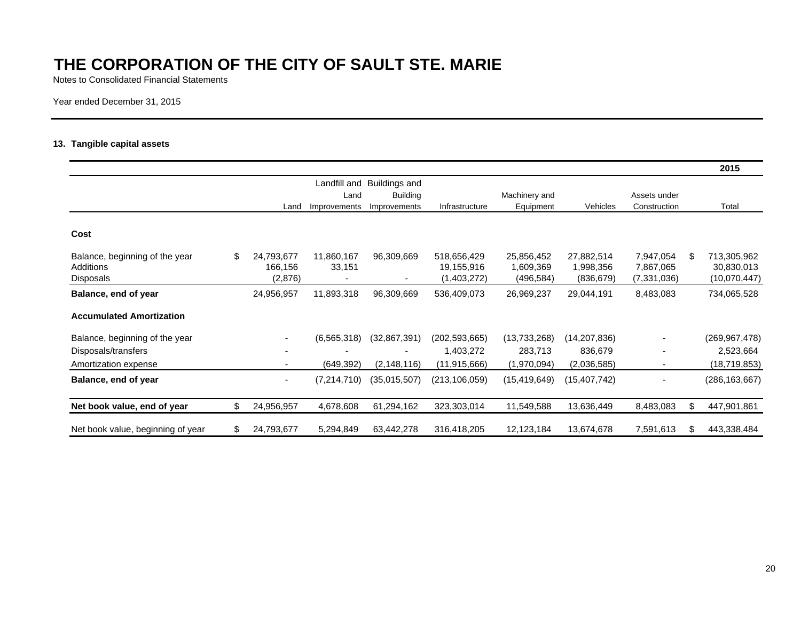Notes to Consolidated Financial Statements

Year ended December 31, 2015

#### **13. Tangible capital assets**

|                                   |     |            |               |                 |                 |                |                |               |     | 2015            |
|-----------------------------------|-----|------------|---------------|-----------------|-----------------|----------------|----------------|---------------|-----|-----------------|
|                                   |     |            | Landfill and  | Buildings and   |                 |                |                |               |     |                 |
|                                   |     |            | Land          | <b>Building</b> |                 | Machinery and  |                | Assets under  |     |                 |
|                                   |     | Land       | Improvements  | Improvements    | Infrastructure  | Equipment      | Vehicles       | Construction  |     | Total           |
| Cost                              |     |            |               |                 |                 |                |                |               |     |                 |
| Balance, beginning of the year    | \$. | 24,793,677 | 11,860,167    | 96,309,669      | 518,656,429     | 25,856,452     | 27,882,514     | 7,947,054     | \$. | 713,305,962     |
| Additions                         |     | 166,156    | 33,151        |                 | 19,155,916      | 1,609,369      | 1,998,356      | 7,867,065     |     | 30,830,013      |
| Disposals                         |     | (2,876)    |               | ٠               | (1,403,272)     | (496, 584)     | (836, 679)     | (7, 331, 036) |     | (10,070,447)    |
| Balance, end of year              |     | 24,956,957 | 11,893,318    | 96,309,669      | 536,409,073     | 26,969,237     | 29,044,191     | 8,483,083     |     | 734,065,528     |
| <b>Accumulated Amortization</b>   |     |            |               |                 |                 |                |                |               |     |                 |
| Balance, beginning of the year    |     |            | (6, 565, 318) | (32,867,391)    | (202,593,665)   | (13,733,268)   | (14, 207, 836) |               |     | (269, 967, 478) |
| Disposals/transfers               |     |            |               |                 | 1,403,272       | 283,713        | 836,679        |               |     | 2,523,664       |
| Amortization expense              |     |            | (649, 392)    | (2, 148, 116)   | (11, 915, 666)  | (1,970,094)    | (2,036,585)    |               |     | (18, 719, 853)  |
| Balance, end of year              |     | ٠          | (7, 214, 710) | (35,015,507)    | (213, 106, 059) | (15, 419, 649) | (15,407,742)   |               |     | (286, 163, 667) |
| Net book value, end of year       | \$  | 24,956,957 | 4,678,608     | 61,294,162      | 323,303,014     | 11,549,588     | 13,636,449     | 8,483,083     | \$  | 447,901,861     |
| Net book value, beginning of year | \$. | 24,793,677 | 5,294,849     | 63,442,278      | 316,418,205     | 12,123,184     | 13,674,678     | 7,591,613     | \$  | 443,338,484     |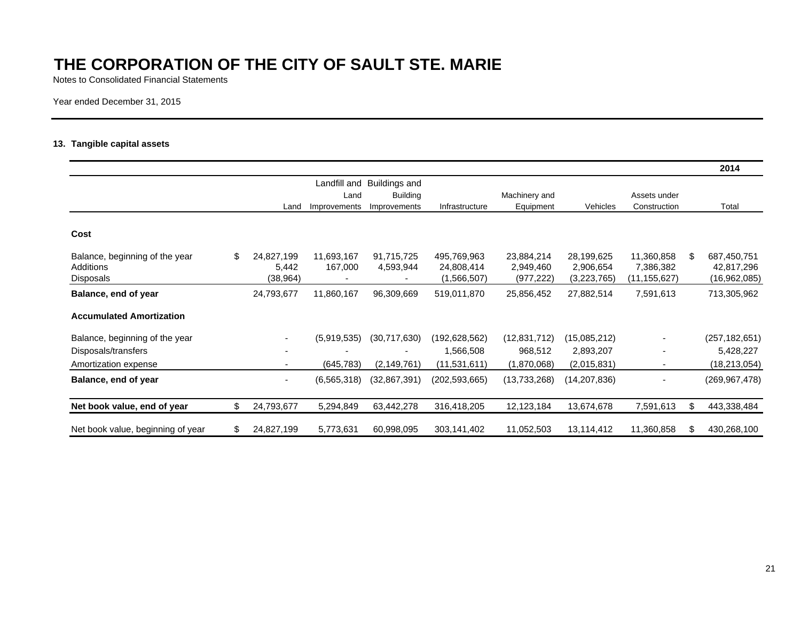Notes to Consolidated Financial Statements

Year ended December 31, 2015

#### **13. Tangible capital assets**

|                                   |     |            |               |                      |                 |               |              |                |     | 2014            |
|-----------------------------------|-----|------------|---------------|----------------------|-----------------|---------------|--------------|----------------|-----|-----------------|
|                                   |     |            | Landfill and  | <b>Buildings and</b> |                 |               |              |                |     |                 |
|                                   |     |            | Land          | <b>Building</b>      |                 | Machinery and |              | Assets under   |     |                 |
|                                   |     | Land       | Improvements  | Improvements         | Infrastructure  | Equipment     | Vehicles     | Construction   |     | Total           |
| Cost                              |     |            |               |                      |                 |               |              |                |     |                 |
| Balance, beginning of the year    | \$. | 24,827,199 | 11,693,167    | 91,715,725           | 495,769,963     | 23,884,214    | 28,199,625   | 11,360,858     | \$. | 687,450,751     |
| Additions                         |     | 5,442      | 167,000       | 4,593,944            | 24,808,414      | 2,949,460     | 2,906,654    | 7,386,382      |     | 42,817,296      |
| Disposals                         |     | (38, 964)  |               |                      | (1,566,507)     | (977, 222)    | (3,223,765)  | (11, 155, 627) |     | (16,962,085)    |
| Balance, end of year              |     | 24,793,677 | 11,860,167    | 96,309,669           | 519,011,870     | 25,856,452    | 27,882,514   | 7,591,613      |     | 713,305,962     |
| <b>Accumulated Amortization</b>   |     |            |               |                      |                 |               |              |                |     |                 |
| Balance, beginning of the year    |     |            | (5,919,535)   | (30,717,630)         | (192, 628, 562) | (12,831,712)  | (15,085,212) |                |     | (257, 182, 651) |
| Disposals/transfers               |     |            |               |                      | 1,566,508       | 968,512       | 2,893,207    |                |     | 5,428,227       |
| Amortization expense              |     |            | (645, 783)    | (2, 149, 761)        | (11,531,611)    | (1,870,068)   | (2,015,831)  |                |     | (18, 213, 054)  |
| Balance, end of year              |     |            | (6, 565, 318) | (32,867,391)         | (202,593,665)   | (13,733,268)  | (14,207,836) |                |     | (269, 967, 478) |
| Net book value, end of year       | \$  | 24,793,677 | 5,294,849     | 63,442,278           | 316,418,205     | 12,123,184    | 13,674,678   | 7,591,613      | \$  | 443,338,484     |
| Net book value, beginning of year | \$. | 24,827,199 | 5,773,631     | 60,998,095           | 303,141,402     | 11,052,503    | 13,114,412   | 11,360,858     | \$  | 430,268,100     |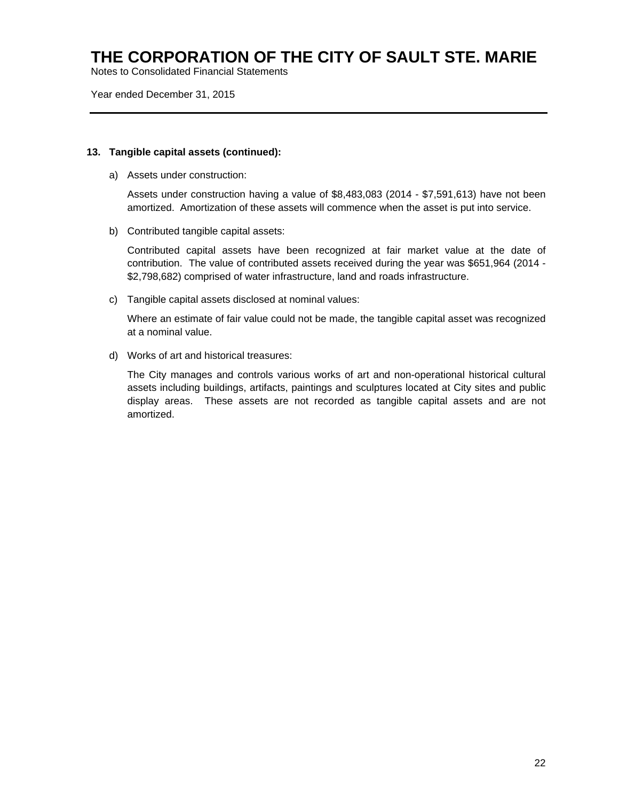Notes to Consolidated Financial Statements

Year ended December 31, 2015

#### **13. Tangible capital assets (continued):**

a) Assets under construction:

Assets under construction having a value of \$8,483,083 (2014 - \$7,591,613) have not been amortized. Amortization of these assets will commence when the asset is put into service.

b) Contributed tangible capital assets:

Contributed capital assets have been recognized at fair market value at the date of contribution. The value of contributed assets received during the year was \$651,964 (2014 - \$2,798,682) comprised of water infrastructure, land and roads infrastructure.

c) Tangible capital assets disclosed at nominal values:

Where an estimate of fair value could not be made, the tangible capital asset was recognized at a nominal value.

d) Works of art and historical treasures:

The City manages and controls various works of art and non-operational historical cultural assets including buildings, artifacts, paintings and sculptures located at City sites and public display areas. These assets are not recorded as tangible capital assets and are not amortized.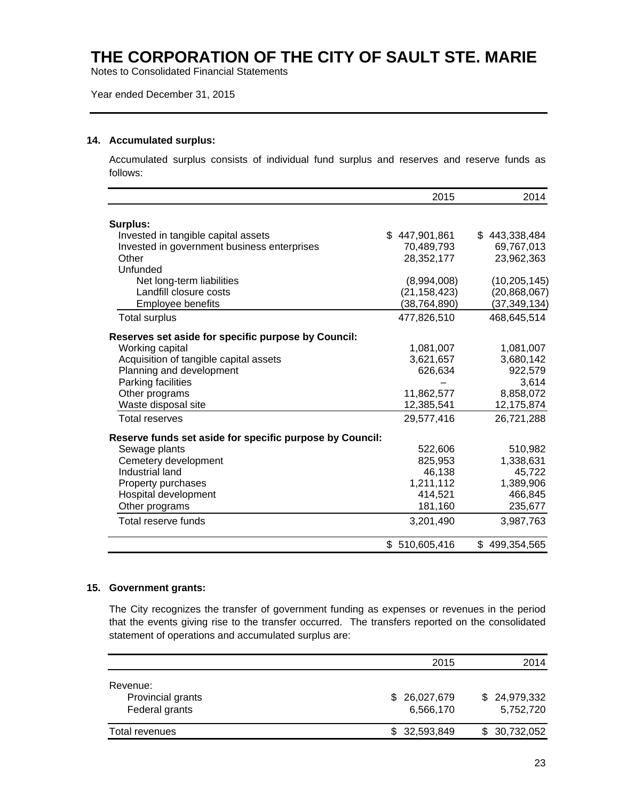Notes to Consolidated Financial Statements

#### Year ended December 31, 2015

#### **14. Accumulated surplus:**

Accumulated surplus consists of individual fund surplus and reserves and reserve funds as follows:

|                                                          | 2015           | 2014           |
|----------------------------------------------------------|----------------|----------------|
|                                                          |                |                |
| Surplus:                                                 |                |                |
| Invested in tangible capital assets                      | \$447,901,861  | \$443,338,484  |
| Invested in government business enterprises              | 70,489,793     | 69,767,013     |
| Other                                                    | 28,352,177     | 23,962,363     |
| Unfunded                                                 |                |                |
| Net long-term liabilities                                | (8,994,008)    | (10, 205, 145) |
| Landfill closure costs                                   | (21, 158, 423) | (20, 868, 067) |
| Employee benefits                                        | (38, 764, 890) | (37, 349, 134) |
| <b>Total surplus</b>                                     | 477,826,510    | 468,645,514    |
| Reserves set aside for specific purpose by Council:      |                |                |
| Working capital                                          | 1,081,007      | 1,081,007      |
| Acquisition of tangible capital assets                   | 3,621,657      | 3,680,142      |
| Planning and development                                 | 626,634        | 922,579        |
| Parking facilities                                       |                | 3,614          |
| Other programs                                           | 11,862,577     | 8,858,072      |
| Waste disposal site                                      | 12,385,541     | 12,175,874     |
| <b>Total reserves</b>                                    | 29,577,416     | 26,721,288     |
| Reserve funds set aside for specific purpose by Council: |                |                |
| Sewage plants                                            | 522,606        | 510,982        |
| Cemetery development                                     | 825,953        | 1,338,631      |
| Industrial land                                          | 46,138         | 45,722         |
| Property purchases                                       | 1,211,112      | 1,389,906      |
| Hospital development                                     | 414,521        | 466,845        |
| Other programs                                           | 181,160        | 235,677        |
| Total reserve funds                                      | 3,201,490      | 3,987,763      |
|                                                          | \$510,605,416  | \$499,354,565  |

#### **15. Government grants:**

The City recognizes the transfer of government funding as expenses or revenues in the period that the events giving rise to the transfer occurred. The transfers reported on the consolidated statement of operations and accumulated surplus are:

|                   | 2015          | 2014         |
|-------------------|---------------|--------------|
| Revenue:          |               |              |
| Provincial grants | \$ 26,027,679 | \$24,979,332 |
| Federal grants    | 6,566,170     | 5,752,720    |
| Total revenues    | \$32,593,849  | \$30,732,052 |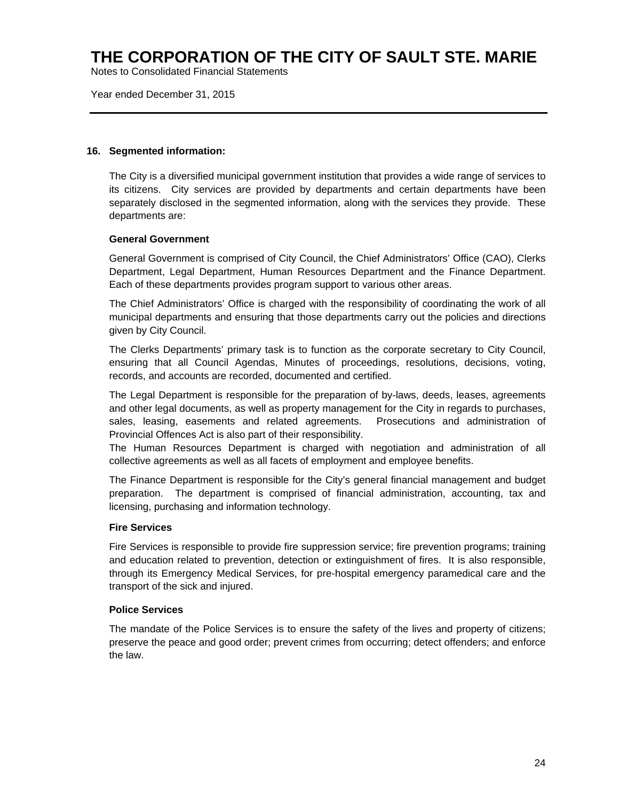Notes to Consolidated Financial Statements

Year ended December 31, 2015

#### **16. Segmented information:**

The City is a diversified municipal government institution that provides a wide range of services to its citizens. City services are provided by departments and certain departments have been separately disclosed in the segmented information, along with the services they provide. These departments are:

#### **General Government**

General Government is comprised of City Council, the Chief Administrators' Office (CAO), Clerks Department, Legal Department, Human Resources Department and the Finance Department. Each of these departments provides program support to various other areas.

The Chief Administrators' Office is charged with the responsibility of coordinating the work of all municipal departments and ensuring that those departments carry out the policies and directions given by City Council.

The Clerks Departments' primary task is to function as the corporate secretary to City Council, ensuring that all Council Agendas, Minutes of proceedings, resolutions, decisions, voting, records, and accounts are recorded, documented and certified.

The Legal Department is responsible for the preparation of by-laws, deeds, leases, agreements and other legal documents, as well as property management for the City in regards to purchases, sales, leasing, easements and related agreements. Prosecutions and administration of Provincial Offences Act is also part of their responsibility.

The Human Resources Department is charged with negotiation and administration of all collective agreements as well as all facets of employment and employee benefits.

The Finance Department is responsible for the City's general financial management and budget preparation. The department is comprised of financial administration, accounting, tax and licensing, purchasing and information technology.

#### **Fire Services**

Fire Services is responsible to provide fire suppression service; fire prevention programs; training and education related to prevention, detection or extinguishment of fires. It is also responsible, through its Emergency Medical Services, for pre-hospital emergency paramedical care and the transport of the sick and injured.

#### **Police Services**

The mandate of the Police Services is to ensure the safety of the lives and property of citizens; preserve the peace and good order; prevent crimes from occurring; detect offenders; and enforce the law.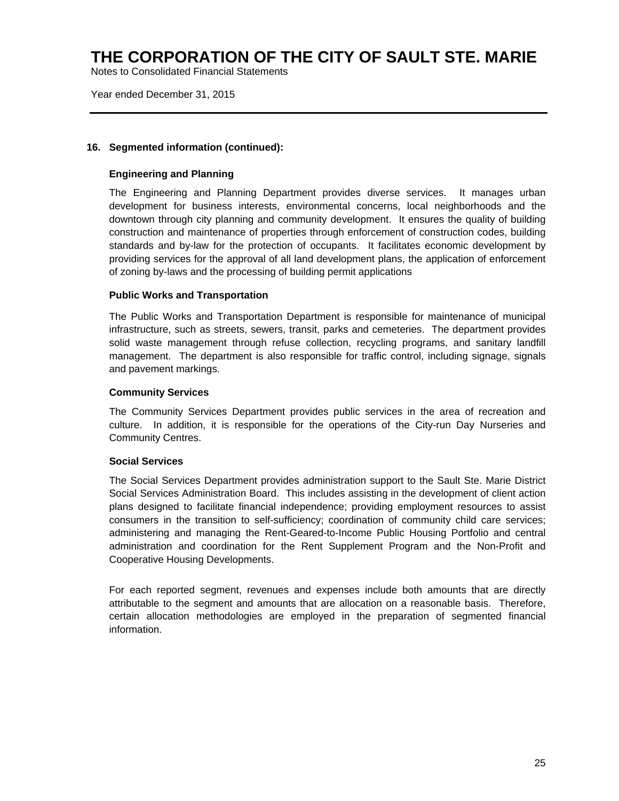Notes to Consolidated Financial Statements

Year ended December 31, 2015

#### **16. Segmented information (continued):**

#### **Engineering and Planning**

The Engineering and Planning Department provides diverse services. It manages urban development for business interests, environmental concerns, local neighborhoods and the downtown through city planning and community development. It ensures the quality of building construction and maintenance of properties through enforcement of construction codes, building standards and by-law for the protection of occupants. It facilitates economic development by providing services for the approval of all land development plans, the application of enforcement of zoning by-laws and the processing of building permit applications

#### **Public Works and Transportation**

The Public Works and Transportation Department is responsible for maintenance of municipal infrastructure, such as streets, sewers, transit, parks and cemeteries. The department provides solid waste management through refuse collection, recycling programs, and sanitary landfill management. The department is also responsible for traffic control, including signage, signals and pavement markings.

#### **Community Services**

The Community Services Department provides public services in the area of recreation and culture. In addition, it is responsible for the operations of the City-run Day Nurseries and Community Centres.

#### **Social Services**

The Social Services Department provides administration support to the Sault Ste. Marie District Social Services Administration Board. This includes assisting in the development of client action plans designed to facilitate financial independence; providing employment resources to assist consumers in the transition to self-sufficiency; coordination of community child care services; administering and managing the Rent-Geared-to-Income Public Housing Portfolio and central administration and coordination for the Rent Supplement Program and the Non-Profit and Cooperative Housing Developments.

For each reported segment, revenues and expenses include both amounts that are directly attributable to the segment and amounts that are allocation on a reasonable basis. Therefore, certain allocation methodologies are employed in the preparation of segmented financial information.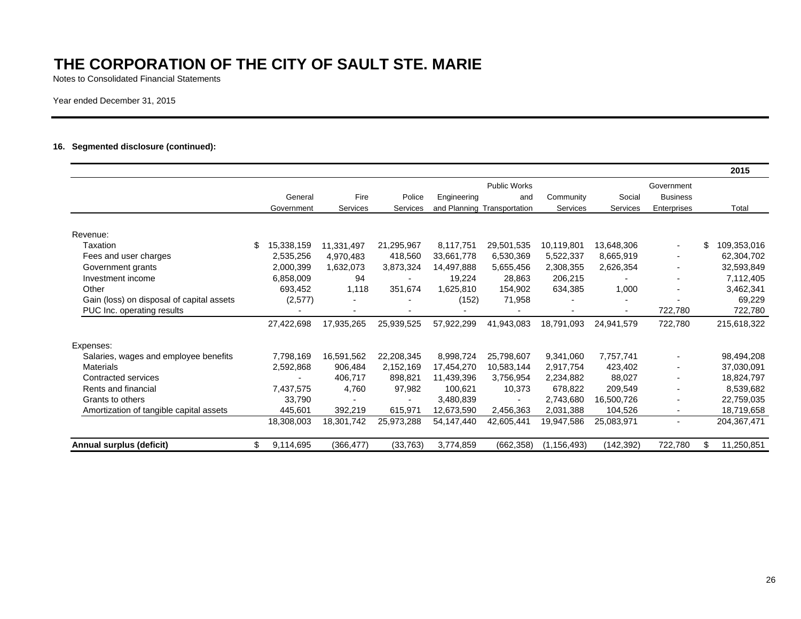Notes to Consolidated Financial Statements

Year ended December 31, 2015

#### **16. Segmented disclosure (continued):**

|                                           |                  |            |            |             |                             |               |            |                          | 2015              |
|-------------------------------------------|------------------|------------|------------|-------------|-----------------------------|---------------|------------|--------------------------|-------------------|
|                                           |                  |            |            |             | <b>Public Works</b>         |               |            | Government               |                   |
|                                           | General          | Fire       | Police     | Engineering | and                         | Community     | Social     | <b>Business</b>          |                   |
|                                           | Government       | Services   | Services   |             | and Planning Transportation | Services      | Services   | Enterprises              | Total             |
|                                           |                  |            |            |             |                             |               |            |                          |                   |
| Revenue:                                  |                  |            |            |             |                             |               |            |                          |                   |
| Taxation                                  | \$<br>15,338,159 | 11,331,497 | 21,295,967 | 8,117,751   | 29,501,535                  | 10,119,801    | 13,648,306 | $\overline{\phantom{a}}$ | 109,353,016<br>\$ |
| Fees and user charges                     | 2,535,256        | 4.970.483  | 418,560    | 33,661,778  | 6,530,369                   | 5,522,337     | 8,665,919  | $\overline{\phantom{a}}$ | 62,304,702        |
| Government grants                         | 2,000,399        | 1,632,073  | 3,873,324  | 14,497,888  | 5,655,456                   | 2,308,355     | 2,626,354  | $\blacksquare$           | 32,593,849        |
| Investment income                         | 6,858,009        | 94         |            | 19,224      | 28,863                      | 206,215       |            | $\blacksquare$           | 7,112,405         |
| Other                                     | 693,452          | 1.118      | 351,674    | 1,625,810   | 154,902                     | 634,385       | 1,000      | $\blacksquare$           | 3,462,341         |
| Gain (loss) on disposal of capital assets | (2,577)          |            |            | (152)       | 71,958                      |               |            |                          | 69,229            |
| PUC Inc. operating results                |                  |            |            |             |                             |               |            | 722,780                  | 722,780           |
|                                           | 27,422,698       | 17,935,265 | 25,939,525 | 57,922,299  | 41,943,083                  | 18,791,093    | 24.941.579 | 722,780                  | 215,618,322       |
| Expenses:                                 |                  |            |            |             |                             |               |            |                          |                   |
| Salaries, wages and employee benefits     | 7,798,169        | 16,591,562 | 22,208,345 | 8,998,724   | 25,798,607                  | 9,341,060     | 7,757,741  | $\blacksquare$           | 98,494,208        |
| <b>Materials</b>                          | 2.592.868        | 906.484    | 2.152.169  | 17.454.270  | 10.583.144                  | 2.917.754     | 423,402    | $\overline{\phantom{a}}$ | 37,030,091        |
| Contracted services                       |                  | 406,717    | 898,821    | 11,439,396  | 3,756,954                   | 2,234,882     | 88,027     | $\blacksquare$           | 18,824,797        |
| Rents and financial                       | 7,437,575        | 4.760      | 97.982     | 100.621     | 10.373                      | 678,822       | 209,549    | $\overline{\phantom{0}}$ | 8,539,682         |
| Grants to others                          | 33.790           |            |            | 3,480,839   |                             | 2,743,680     | 16,500,726 |                          | 22,759,035        |
| Amortization of tangible capital assets   | 445,601          | 392,219    | 615,971    | 12,673,590  | 2.456.363                   | 2,031,388     | 104,526    | $\overline{\phantom{a}}$ | 18,719,658        |
|                                           | 18,308,003       | 18,301,742 | 25,973,288 | 54,147,440  | 42,605,441                  | 19,947,586    | 25,083,971 | $\blacksquare$           | 204,367,471       |
| Annual surplus (deficit)                  | \$<br>9.114.695  | (366.477)  | (33.763)   | 3,774,859   | (662, 358)                  | (1, 156, 493) | (142,392)  | 722,780                  | \$<br>11,250,851  |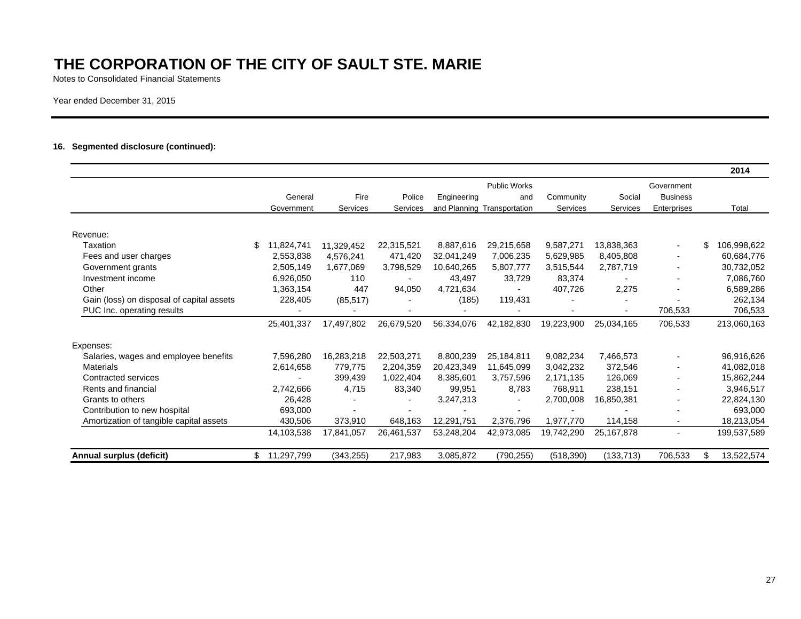Notes to Consolidated Financial Statements

Year ended December 31, 2015

#### **16. Segmented disclosure (continued):**

|                                           |                  |            |                          |             |                             |            |            |                          | 2014              |
|-------------------------------------------|------------------|------------|--------------------------|-------------|-----------------------------|------------|------------|--------------------------|-------------------|
|                                           |                  |            |                          |             | <b>Public Works</b>         |            |            | Government               |                   |
|                                           | General          | Fire       | Police                   | Engineering | and                         | Community  | Social     | <b>Business</b>          |                   |
|                                           | Government       | Services   | Services                 |             | and Planning Transportation | Services   | Services   | Enterprises              | Total             |
|                                           |                  |            |                          |             |                             |            |            |                          |                   |
| Revenue:                                  |                  |            |                          |             |                             |            |            |                          |                   |
| Taxation                                  | \$<br>11,824,741 | 11,329,452 | 22.315.521               | 8.887.616   | 29,215,658                  | 9,587,271  | 13,838,363 | $\blacksquare$           | 106,998,622<br>S  |
| Fees and user charges                     | 2,553,838        | 4,576,241  | 471,420                  | 32,041,249  | 7,006,235                   | 5,629,985  | 8,405,808  | $\overline{\phantom{0}}$ | 60,684,776        |
| Government grants                         | 2,505,149        | 1,677,069  | 3,798,529                | 10,640,265  | 5,807,777                   | 3,515,544  | 2,787,719  |                          | 30,732,052        |
| Investment income                         | 6,926,050        | 110        | $\overline{\phantom{a}}$ | 43,497      | 33.729                      | 83,374     |            | $\blacksquare$           | 7,086,760         |
| Other                                     | 1,363,154        | 447        | 94,050                   | 4,721,634   |                             | 407,726    | 2,275      |                          | 6,589,286         |
| Gain (loss) on disposal of capital assets | 228,405          | (85, 517)  |                          | (185)       | 119,431                     |            |            |                          | 262,134           |
| PUC Inc. operating results                |                  |            |                          |             |                             |            |            | 706,533                  | 706,533           |
|                                           | 25,401,337       | 17,497,802 | 26,679,520               | 56,334,076  | 42,182,830                  | 19,223,900 | 25,034,165 | 706,533                  | 213,060,163       |
| Expenses:                                 |                  |            |                          |             |                             |            |            |                          |                   |
| Salaries, wages and employee benefits     | 7,596,280        | 16,283,218 | 22,503,271               | 8,800,239   | 25,184,811                  | 9,082,234  | 7,466,573  |                          | 96,916,626        |
| <b>Materials</b>                          | 2,614,658        | 779.775    | 2,204,359                | 20,423,349  | 11,645,099                  | 3.042.232  | 372,546    |                          | 41,082,018        |
| Contracted services                       |                  | 399,439    | 1,022,404                | 8,385,601   | 3,757,596                   | 2,171,135  | 126,069    | ۰                        | 15,862,244        |
| Rents and financial                       | 2,742,666        | 4.715      | 83,340                   | 99,951      | 8.783                       | 768.911    | 238,151    |                          | 3,946,517         |
| Grants to others                          | 26,428           |            | $\overline{\phantom{a}}$ | 3,247,313   |                             | 2,700,008  | 16,850,381 |                          | 22,824,130        |
| Contribution to new hospital              | 693,000          |            |                          |             |                             |            |            |                          | 693,000           |
| Amortization of tangible capital assets   | 430,506          | 373,910    | 648,163                  | 12,291,751  | 2,376,796                   | 1,977,770  | 114,158    | $\blacksquare$           | 18,213,054        |
|                                           | 14,103,538       | 17,841,057 | 26,461,537               | 53,248,204  | 42,973,085                  | 19,742,290 | 25,167,878 | $\overline{a}$           | 199,537,589       |
| Annual surplus (deficit)                  | 11,297,799       | (343, 255) | 217,983                  | 3,085,872   | (790, 255)                  | (518, 390) | (133, 713) | 706,533                  | \$.<br>13,522,574 |